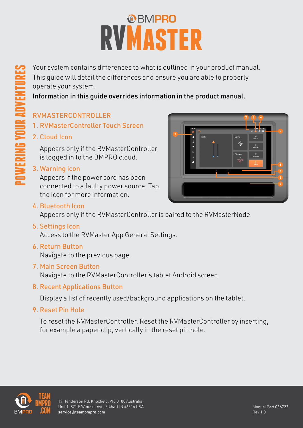# RVMASTER

Your system contains differences to what is outlined in your product manual. This guide will detail the differences and ensure you are able to properly operate your system.

Information in this guide overrides information in the product manual.

# RVMASTERCONTROLLER

- 1. RVMasterController Touch Screen
- 2. Cloud Icon

**POWERING YOUR ADVENTURES**

VERING YOUR ADVENTU

Appears only if the RVMasterController is logged in to the BMPRO cloud.

#### 3. Warning icon

Appears if the power cord has been connected to a faulty power source. Tap the icon for more information.

#### 4. Bluetooth Icon

Appears only if the RVMasterController is paired to the RVMasterNode.

5. Settings Icon

Access to the RVMaster App General Settings.

#### 6. Return Button

Navigate to the previous page.

#### 7. Main Screen Button

Navigate to the RVMasterController's tablet Android screen.

#### 8. Recent Applications Button

Display a list of recently used/background applications on the tablet.

9. Reset Pin Hole

To reset the RVMasterController. Reset the RVMasterController by inserting, for example a paper clip, vertically in the reset pin hole.